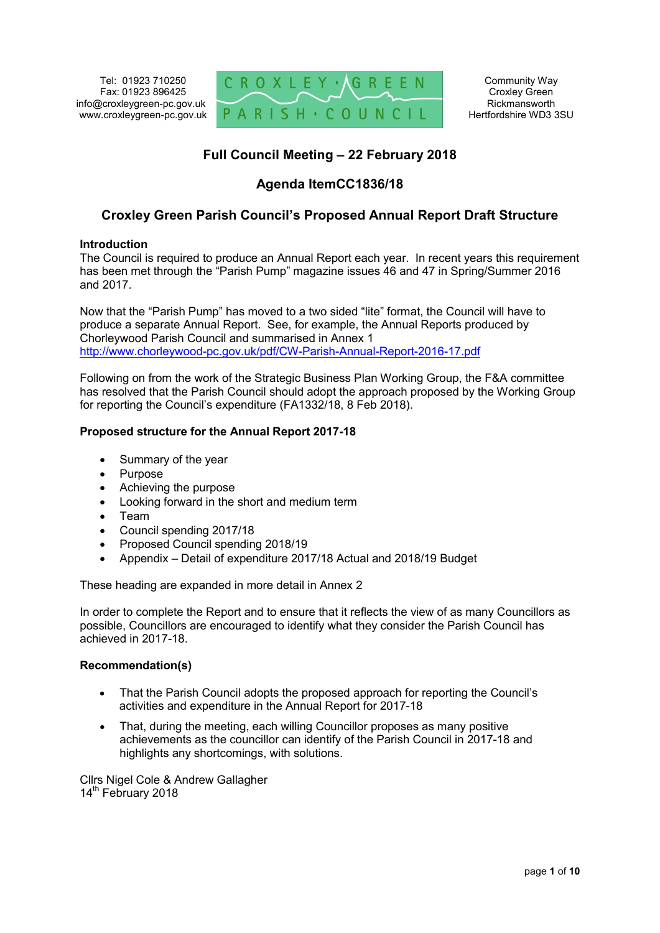Tel: 01923 710250 Fax: 01923 896425 info@croxleygreen-pc.gov.uk www.croxleygreen-pc.gov.uk



## **Full Council Meeting – 22 February 2018**

## **Agenda ItemCC1836/18**

## **Croxley Green Parish Council's Proposed Annual Report Draft Structure**

#### **Introduction**

The Council is required to produce an Annual Report each year. In recent years this requirement has been met through the "Parish Pump" magazine issues 46 and 47 in Spring/Summer 2016 and 2017.

Now that the "Parish Pump" has moved to a two sided "lite" format, the Council will have to produce a separate Annual Report. See, for example, the Annual Reports produced by Chorleywood Parish Council and summarised in Annex 1 http://www.chorleywood-pc.gov.uk/pdf/CW-Parish-Annual-Report-2016-17.pdf

Following on from the work of the Strategic Business Plan Working Group, the F&A committee has resolved that the Parish Council should adopt the approach proposed by the Working Group for reporting the Council's expenditure (FA1332/18, 8 Feb 2018).

#### **Proposed structure for the Annual Report 2017-18**

- Summary of the year
- Purpose
- Achieving the purpose
- Looking forward in the short and medium term
- Team
- Council spending 2017/18
- Proposed Council spending 2018/19
- Appendix Detail of expenditure 2017/18 Actual and 2018/19 Budget

These heading are expanded in more detail in Annex 2

In order to complete the Report and to ensure that it reflects the view of as many Councillors as possible, Councillors are encouraged to identify what they consider the Parish Council has achieved in 2017-18.

#### **Recommendation(s)**

- That the Parish Council adopts the proposed approach for reporting the Council's activities and expenditure in the Annual Report for 2017-18
- That, during the meeting, each willing Councillor proposes as many positive achievements as the councillor can identify of the Parish Council in 2017-18 and highlights any shortcomings, with solutions.

Cllrs Nigel Cole & Andrew Gallagher 14<sup>th</sup> February 2018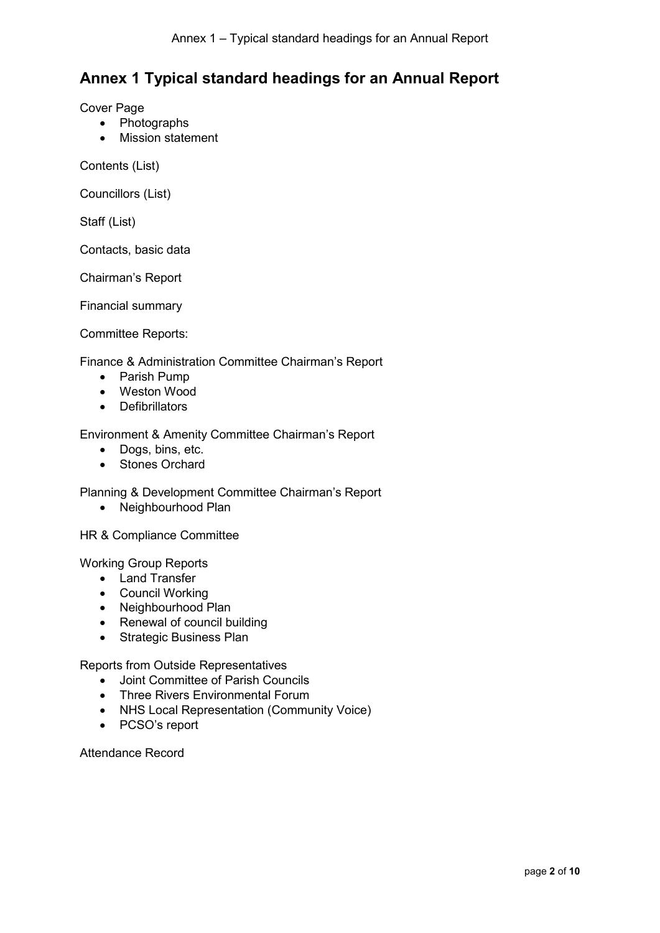# **Annex 1 Typical standard headings for an Annual Report**

Cover Page

- Photographs
- Mission statement

Contents (List)

Councillors (List)

Staff (List)

Contacts, basic data

Chairman's Report

Financial summary

Committee Reports:

Finance & Administration Committee Chairman's Report

- Parish Pump
- Weston Wood
- Defibrillators

Environment & Amenity Committee Chairman's Report

- Dogs, bins, etc.
- Stones Orchard

Planning & Development Committee Chairman's Report

• Neighbourhood Plan

HR & Compliance Committee

Working Group Reports

- Land Transfer
- Council Working
- Neighbourhood Plan
- Renewal of council building
- Strategic Business Plan

Reports from Outside Representatives

- Joint Committee of Parish Councils
- Three Rivers Environmental Forum
- NHS Local Representation (Community Voice)
- PCSO's report

Attendance Record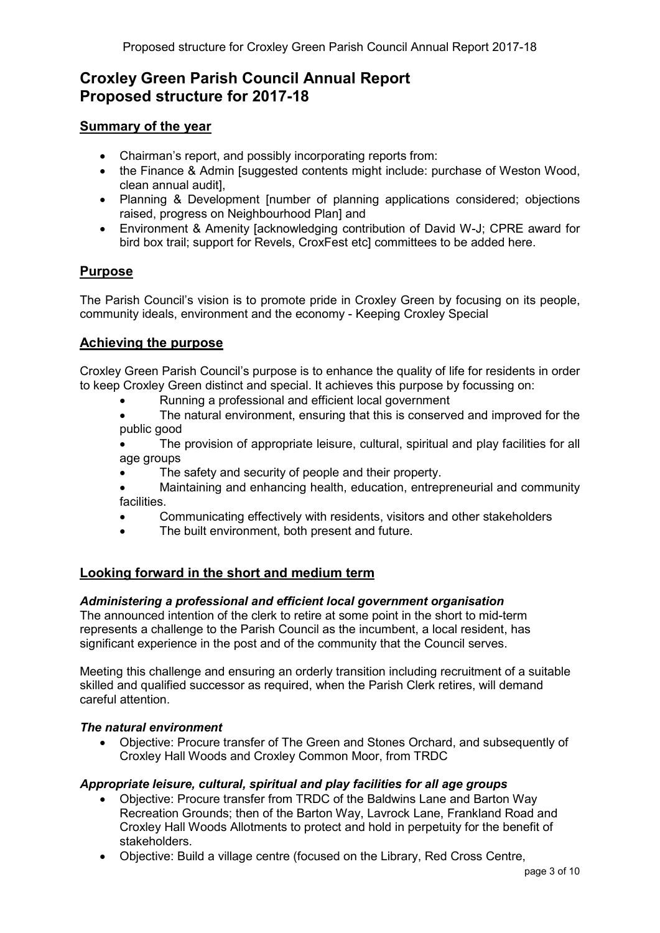# **Croxley Green Parish Council Annual Report Proposed structure for 2017-18**

#### **Summary of the year**

- Chairman's report, and possibly incorporating reports from:
- the Finance & Admin [suggested contents might include: purchase of Weston Wood, clean annual audit],
- Planning & Development [number of planning applications considered; objections raised, progress on Neighbourhood Plan] and
- Environment & Amenity [acknowledging contribution of David W-J; CPRE award for bird box trail; support for Revels, CroxFest etc] committees to be added here.

### **Purpose**

The Parish Council's vision is to promote pride in Croxley Green by focusing on its people, community ideals, environment and the economy - Keeping Croxley Special

### **Achieving the purpose**

Croxley Green Parish Council's purpose is to enhance the quality of life for residents in order to keep Croxley Green distinct and special. It achieves this purpose by focussing on:

- Running a professional and efficient local government
- The natural environment, ensuring that this is conserved and improved for the public good

 The provision of appropriate leisure, cultural, spiritual and play facilities for all age groups

- The safety and security of people and their property.
- Maintaining and enhancing health, education, entrepreneurial and community facilities.
- Communicating effectively with residents, visitors and other stakeholders
- The built environment, both present and future.

## **Looking forward in the short and medium term**

#### *Administering a professional and efficient local government organisation*

The announced intention of the clerk to retire at some point in the short to mid-term represents a challenge to the Parish Council as the incumbent, a local resident, has significant experience in the post and of the community that the Council serves.

Meeting this challenge and ensuring an orderly transition including recruitment of a suitable skilled and qualified successor as required, when the Parish Clerk retires, will demand careful attention.

#### *The natural environment*

 Objective: Procure transfer of The Green and Stones Orchard, and subsequently of Croxley Hall Woods and Croxley Common Moor, from TRDC

#### *Appropriate leisure, cultural, spiritual and play facilities for all age groups*

- Objective: Procure transfer from TRDC of the Baldwins Lane and Barton Way Recreation Grounds; then of the Barton Way, Lavrock Lane, Frankland Road and Croxley Hall Woods Allotments to protect and hold in perpetuity for the benefit of stakeholders.
- Objective: Build a village centre (focused on the Library, Red Cross Centre,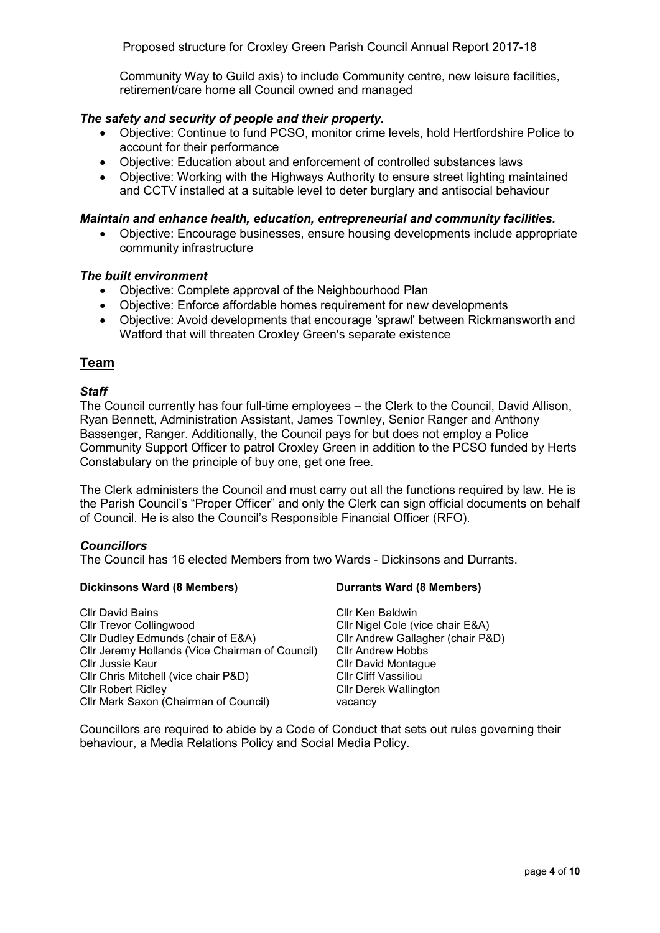Proposed structure for Croxley Green Parish Council Annual Report 2017-18

Community Way to Guild axis) to include Community centre, new leisure facilities, retirement/care home all Council owned and managed

#### *The safety and security of people and their property.*

- Objective: Continue to fund PCSO, monitor crime levels, hold Hertfordshire Police to account for their performance
- Objective: Education about and enforcement of controlled substances laws
- Objective: Working with the Highways Authority to ensure street lighting maintained and CCTV installed at a suitable level to deter burglary and antisocial behaviour

#### *Maintain and enhance health, education, entrepreneurial and community facilities.*

 Objective: Encourage businesses, ensure housing developments include appropriate community infrastructure

#### *The built environment*

- Objective: Complete approval of the Neighbourhood Plan
- Objective: Enforce affordable homes requirement for new developments
- Objective: Avoid developments that encourage 'sprawl' between Rickmansworth and Watford that will threaten Croxley Green's separate existence

#### **Team**

#### *Staff*

The Council currently has four full-time employees – the Clerk to the Council, David Allison, Ryan Bennett, Administration Assistant, James Townley, Senior Ranger and Anthony Bassenger, Ranger. Additionally, the Council pays for but does not employ a Police Community Support Officer to patrol Croxley Green in addition to the PCSO funded by Herts Constabulary on the principle of buy one, get one free.

The Clerk administers the Council and must carry out all the functions required by law. He is the Parish Council's "Proper Officer" and only the Clerk can sign official documents on behalf of Council. He is also the Council's Responsible Financial Officer (RFO).

#### *Councillors*

The Council has 16 elected Members from two Wards - Dickinsons and Durrants.

#### **Dickinsons Ward (8 Members) Durrants Ward (8 Members)**

Cllr David Bains Cllr Ken Baldwin Cllr Trevor Collingwood Cllr Nigel Cole (vice chair E&A) Cllr Jeremy Hollands (Vice Chairman of Council) Cllr Andrew Hobbs Cllr Chris Mitchell (vice chair P&D) Cllr Robert Ridley **Cllr Derek Wallington** Cllr Mark Saxon (Chairman of Council) vacancy

Cllr Andrew Gallagher (chair P&D) Cllr David Montague<br>Cllr Cliff Vassiliou

Councillors are required to abide by a Code of Conduct that sets out rules governing their behaviour, a Media Relations Policy and Social Media Policy.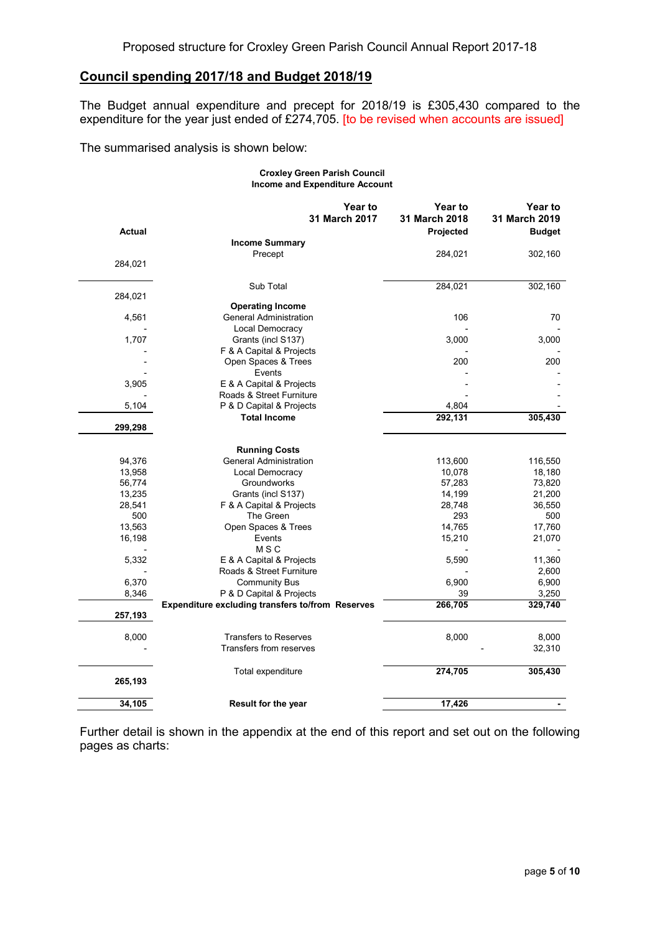## **Council spending 2017/18 and Budget 2018/19**

The Budget annual expenditure and precept for 2018/19 is £305,430 compared to the expenditure for the year just ended of £274,705. [to be revised when accounts are issued]

The summarised analysis is shown below:

#### **Croxley Green Parish Council Income and Expenditure Account**

|               | <b>Year to</b><br>31 March 2017                         | Year to<br>31 March 2018 | Year to<br>31 March 2019 |
|---------------|---------------------------------------------------------|--------------------------|--------------------------|
| <b>Actual</b> |                                                         | <b>Projected</b>         | <b>Budget</b>            |
|               | <b>Income Summary</b><br>Precept                        | 284,021                  | 302,160                  |
| 284,021       |                                                         |                          |                          |
| 284,021       | Sub Total                                               | 284,021                  | 302,160                  |
|               | <b>Operating Income</b>                                 |                          |                          |
| 4,561         | <b>General Administration</b>                           | 106                      | 70                       |
|               | Local Democracy                                         |                          |                          |
| 1,707         | Grants (incl S137)                                      | 3,000                    | 3,000                    |
|               | F & A Capital & Projects                                |                          |                          |
|               | Open Spaces & Trees                                     | 200                      | 200                      |
|               | Events                                                  |                          |                          |
| 3,905         | E & A Capital & Projects                                |                          |                          |
|               | Roads & Street Furniture                                |                          |                          |
| 5,104         | P & D Capital & Projects                                | 4,804                    |                          |
| 299,298       | <b>Total Income</b>                                     | 292,131                  | 305,430                  |
|               |                                                         |                          |                          |
|               | <b>Running Costs</b>                                    |                          |                          |
| 94,376        | <b>General Administration</b>                           | 113,600                  | 116,550                  |
| 13,958        | Local Democracy                                         | 10,078                   | 18,180                   |
| 56,774        | Groundworks                                             | 57,283                   | 73,820                   |
| 13,235        | Grants (incl S137)                                      | 14,199                   | 21,200                   |
| 28,541        | F & A Capital & Projects                                | 28,748                   | 36,550                   |
| 500           | The Green                                               | 293                      | 500                      |
| 13,563        | Open Spaces & Trees                                     | 14,765                   | 17,760                   |
| 16,198        | Events                                                  | 15,210                   | 21,070                   |
|               | <b>MSC</b>                                              |                          |                          |
| 5,332         | E & A Capital & Projects                                | 5,590                    | 11,360                   |
|               | Roads & Street Furniture                                |                          | 2,600                    |
| 6,370         | <b>Community Bus</b>                                    | 6,900                    | 6,900                    |
| 8,346         | P & D Capital & Projects                                | 39                       | 3,250                    |
| 257,193       | <b>Expenditure excluding transfers to/from Reserves</b> | 266,705                  | 329,740                  |
|               |                                                         |                          |                          |
| 8,000         | <b>Transfers to Reserves</b>                            | 8,000                    | 8,000                    |
|               | Transfers from reserves                                 |                          | 32,310                   |
|               | Total expenditure                                       | 274,705                  | 305,430                  |
| 265,193       |                                                         |                          |                          |
| 34,105        | Result for the year                                     | 17,426                   |                          |
|               |                                                         |                          |                          |

Further detail is shown in the appendix at the end of this report and set out on the following pages as charts: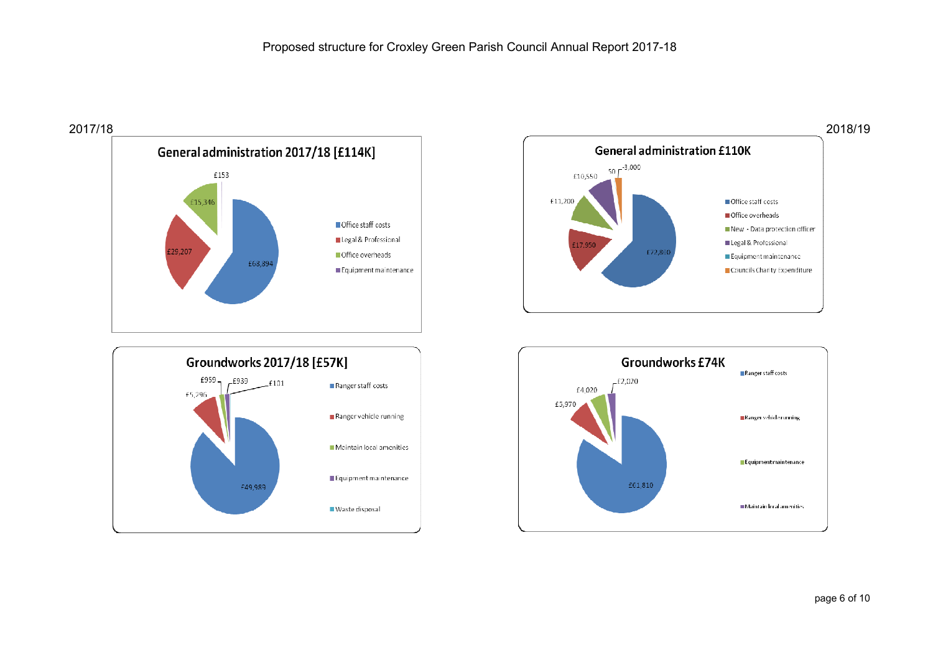





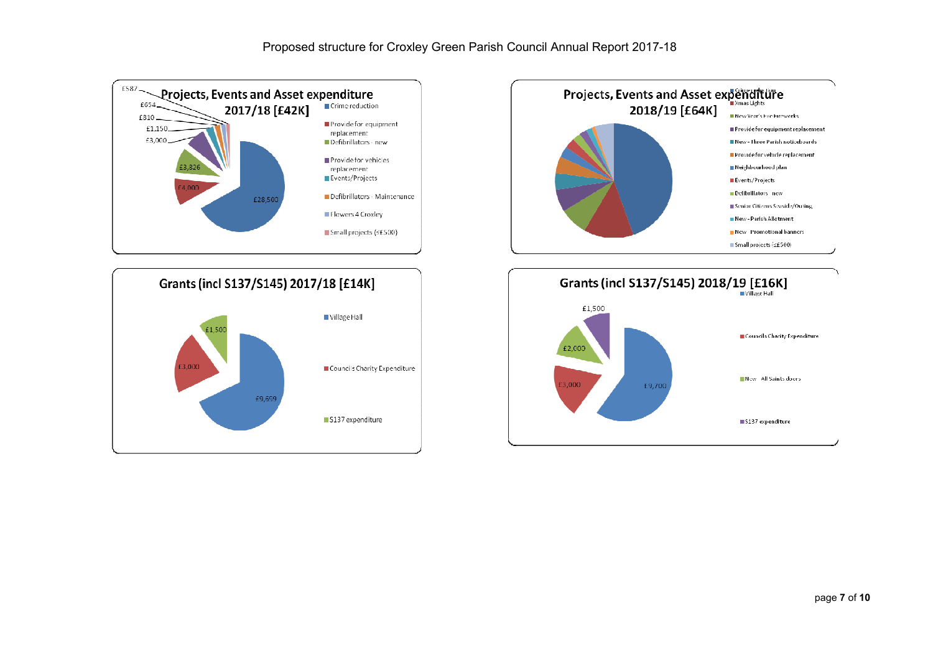





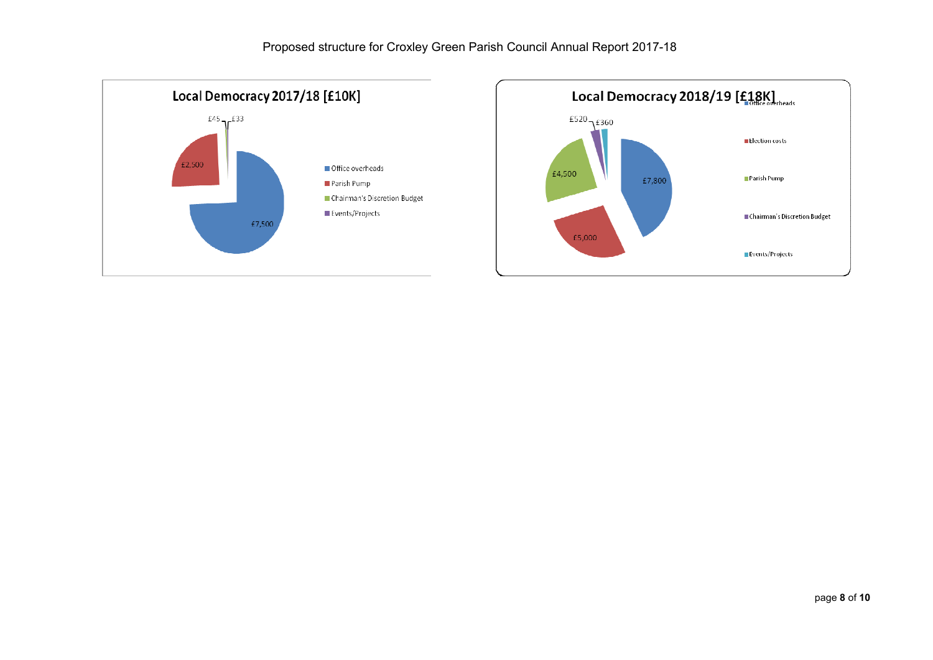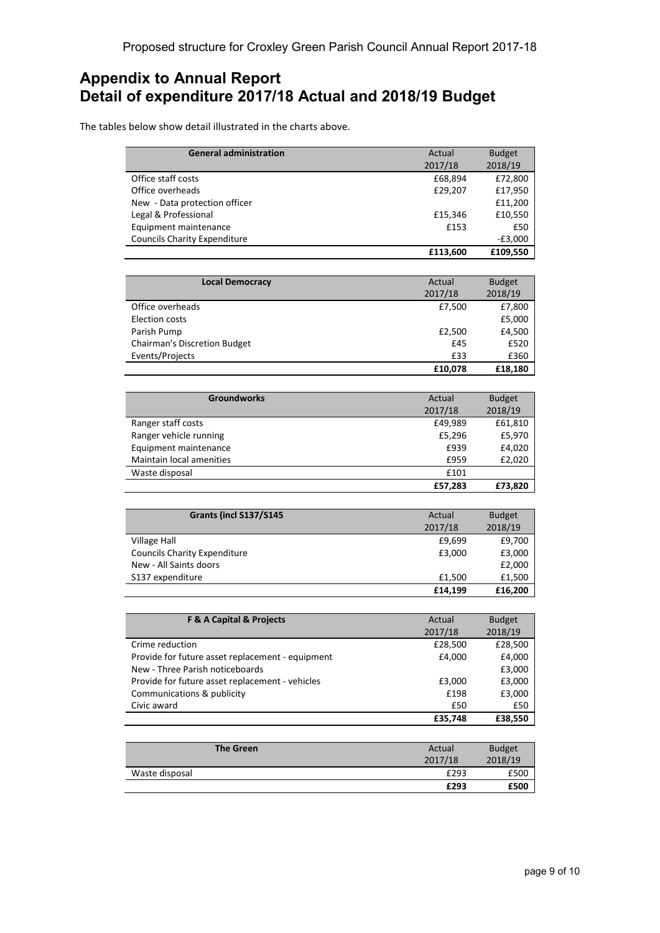## **Appendix to Annual Report Detail of expenditure 2017/18 Actual and 2018/19 Budget**

The tables below show detail illustrated in the charts above.

| <b>General administration</b>       | Actual   | <b>Budget</b> |
|-------------------------------------|----------|---------------|
|                                     | 2017/18  | 2018/19       |
| Office staff costs                  | £68,894  | £72,800       |
| Office overheads                    | £29,207  | £17,950       |
| New - Data protection officer       |          | £11,200       |
| Legal & Professional                | £15.346  | £10,550       |
| Equipment maintenance               | £153     | £50           |
| <b>Councils Charity Expenditure</b> |          | $-E3,000$     |
|                                     | £113,600 | £109,550      |

| <b>Local Democracy</b>              | Actual  | <b>Budget</b> |
|-------------------------------------|---------|---------------|
|                                     | 2017/18 | 2018/19       |
| Office overheads                    | £7,500  | £7,800        |
| Election costs                      |         | £5,000        |
| Parish Pump                         | £2,500  | £4,500        |
| <b>Chairman's Discretion Budget</b> | £45     | £520          |
| Events/Projects                     | £33     | £360          |
|                                     | £10,078 | £18,180       |

| <b>Groundworks</b>       | Actual<br>2017/18 | <b>Budget</b><br>2018/19 |
|--------------------------|-------------------|--------------------------|
| Ranger staff costs       | £49.989           | £61,810                  |
| Ranger vehicle running   | £5,296            | £5,970                   |
| Equipment maintenance    | £939              | £4,020                   |
| Maintain local amenities | £959              | £2,020                   |
| Waste disposal           | £101              |                          |
|                          | £57,283           | £73,820                  |

| Grants (incl S137/S145              | Actual  | <b>Budget</b> |
|-------------------------------------|---------|---------------|
|                                     | 2017/18 | 2018/19       |
| Village Hall                        | £9.699  | £9,700        |
| <b>Councils Charity Expenditure</b> | £3,000  | £3,000        |
| New - All Saints doors              |         | £2,000        |
| S137 expenditure                    | £1,500  | £1,500        |
|                                     | £14.199 | £16,200       |

| <b>F &amp; A Capital &amp; Projects</b>          | Actual  | <b>Budget</b> |
|--------------------------------------------------|---------|---------------|
|                                                  | 2017/18 | 2018/19       |
| Crime reduction                                  | £28,500 | £28,500       |
| Provide for future asset replacement - equipment | £4,000  | £4,000        |
| New - Three Parish noticeboards                  |         | £3,000        |
| Provide for future asset replacement - vehicles  | £3,000  | £3,000        |
| Communications & publicity                       | £198    | £3,000        |
| Civic award                                      | £50     | £50           |
|                                                  | £35,748 | £38,550       |

| <b>The Green</b> | Actual<br>2017/18 | <b>Budget</b><br>2018/19 |
|------------------|-------------------|--------------------------|
| Waste disposal   | £293              | £500                     |
|                  | £293              | £500                     |